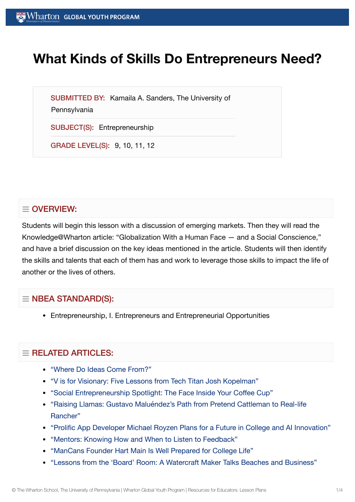# **What Kinds of Skills Do Entrepreneurs Need?**

SUBMITTED BY: Kamaila A. Sanders, The University of

**Pennsylvania** 

SUBJECT(S): Entrepreneurship

GRADE LEVEL(S): 9, 10, 11, 12

# $\equiv$  OVERVIEW:

Students will begin this lesson with a discussion of emerging markets. Then they will read the Knowledge@Wharton article: "Globalization With a Human Face — and a Social Conscience," and have a brief discussion on the key ideas mentioned in the article. Students will then identify the skills and talents that each of them has and work to leverage those skills to impact the life of another or the lives of others.

# $\equiv$  NBEA STANDARD(S):

Entrepreneurship, I. Entrepreneurs and Entrepreneurial Opportunities

# $=$  RELATED ARTICLES:

- "Where Do [Ideas Come](https://globalyouth.wharton.upenn.edu/articles/where-do-ideas-come-from/) From?"
- "V is for Visionary: Five [Lessons from](https://globalyouth.wharton.upenn.edu/articles/v-is-for-visionary-five-lessons-from-tech-titan-josh-kopelman/) Tech Titan Josh Kopelman"
- "Social [Entrepreneurship](https://globalyouth.wharton.upenn.edu/articles/social-entrepreneurship-spotlight-the-face-inside-your-coffee-cup/) Spotlight: The Face Inside Your Coffee Cup"
- "Raising Llamas: Gustavo [Maluéndez's Path](https://globalyouth.wharton.upenn.edu/articles/raising-llamas-gustavo-maluendezs-journey-from-pretend-cattleman-to-real-life-rancher/) from Pretend Cattleman to Real-life Rancher"
- "Prolific App Developer Michael Royzen Plans for a Future in College and AI [Innovation"](https://globalyouth.wharton.upenn.edu/articles/prolific-app-developer-michael-royzen-plans-for-a-future-in-college-and-ai-innovation/)
- "Mentors: Knowing How and When to Listen to [Feedback"](https://globalyouth.wharton.upenn.edu/articles/mentors-knowing-listen-feedback-advice/)
- ["ManCans Founder](https://globalyouth.wharton.upenn.edu/articles/hart-main-is-prepared-for-college-life/) Hart Main Is Well Prepared for College Life"
- "Lessons from the 'Board' Room: A Watercraft Maker [Talks Beaches and](https://globalyouth.wharton.upenn.edu/articles/lessons-from-the-board-room-a-watercraft-maker-talks-beaches-and-business/) Business"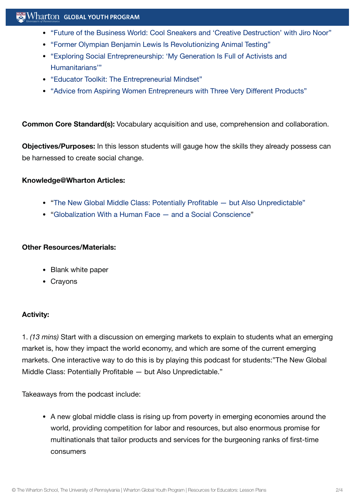## $\sim$  Wharton Global youth program

- "Future of the [Business World:](https://globalyouth.wharton.upenn.edu/articles/cool-sneakers-creative-destruction-with-jiro-noor/) Cool Sneakers and 'Creative Destruction' with Jiro Noor"
- "Former Olympian Benjamin Lewis Is [Revolutionizing](https://globalyouth.wharton.upenn.edu/articles/former-olympian-benjamin-lewis-revolutionizes-animal-testing/) Animal Testing"
- "Exploring Social [Entrepreneurship:](https://globalyouth.wharton.upenn.edu/articles/power-social-entrepreneurship/) 'My Generation Is Full of Activists and Humanitarians'"
- "Educator Toolkit: The [Entrepreneurial](https://globalyouth.wharton.upenn.edu/articles/educator-toolkit-entrepreneurial-mindset/) Mindset"
- "Advice from Aspiring Women [Entrepreneurs with](https://globalyouth.wharton.upenn.edu/articles/advice-aspiring-women-entrepreneurs/) Three Very Different Products"

**Common Core Standard(s):** Vocabulary acquisition and use, comprehension and collaboration.

**Objectives/Purposes:** In this lesson students will gauge how the skills they already possess can be harnessed to create social change.

#### **Knowledge@Wharton Articles:**

- "The New Global Middle Class: [Potentially Profitable](http://knowledge.wharton.upenn.edu/article.cfm?articleid=2011) but Also Unpredictable"
- ["Globalization](http://knowledge.wharton.upenn.edu/article.cfm?articleid=770) With a Human Face and a Social Conscience"

#### **Other Resources/Materials:**

- Blank white paper
- Crayons

### **Activity:**

1. *(13 mins)* Start with a discussion on emerging markets to explain to students what an emerging market is, how they impact the world economy, and which are some of the current emerging markets. One interactive way to do this is by playing this podcast for students:"The New Global Middle Class: Potentially Profitable — but Also Unpredictable."

Takeaways from the podcast include:

A new global middle class is rising up from poverty in emerging economies around the world, providing competition for labor and resources, but also enormous promise for multinationals that tailor products and services for the burgeoning ranks of first-time consumers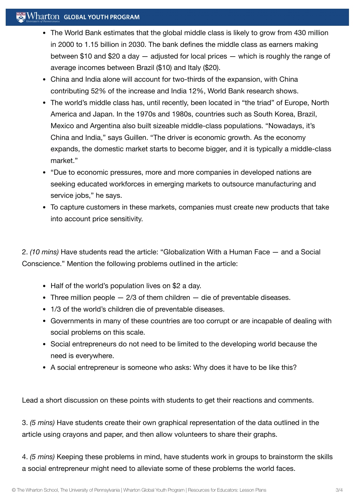## $\mathbb{R}$  Wharton Global Youth Program

- The World Bank estimates that the global middle class is likely to grow from 430 million in 2000 to 1.15 billion in 2030. The bank defines the middle class as earners making between \$10 and \$20 a day — adjusted for local prices — which is roughly the range of average incomes between Brazil (\$10) and Italy (\$20).
- China and India alone will account for two-thirds of the expansion, with China contributing 52% of the increase and India 12%, World Bank research shows.
- The world's middle class has, until recently, been located in "the triad" of Europe, North America and Japan. In the 1970s and 1980s, countries such as South Korea, Brazil, Mexico and Argentina also built sizeable middle-class populations. "Nowadays, it's China and India," says Guillen. "The driver is economic growth. As the economy expands, the domestic market starts to become bigger, and it is typically a middle-class market."
- "Due to economic pressures, more and more companies in developed nations are seeking educated workforces in emerging markets to outsource manufacturing and service jobs," he says.
- To capture customers in these markets, companies must create new products that take into account price sensitivity.

2. *(10 mins)* Have students read the article: "Globalization With a Human Face — and a Social Conscience." Mention the following problems outlined in the article:

- Half of the world's population lives on \$2 a day.
- Three million people  $-2/3$  of them children  $-$  die of preventable diseases.
- 1/3 of the world's children die of preventable diseases.
- Governments in many of these countries are too corrupt or are incapable of dealing with social problems on this scale.
- Social entrepreneurs do not need to be limited to the developing world because the need is everywhere.
- A social entrepreneur is someone who asks: Why does it have to be like this?

Lead a short discussion on these points with students to get their reactions and comments.

3. *(5 mins)* Have students create their own graphical representation of the data outlined in the article using crayons and paper, and then allow volunteers to share their graphs.

4. *(5 mins)* Keeping these problems in mind, have students work in groups to brainstorm the skills a social entrepreneur might need to alleviate some of these problems the world faces.